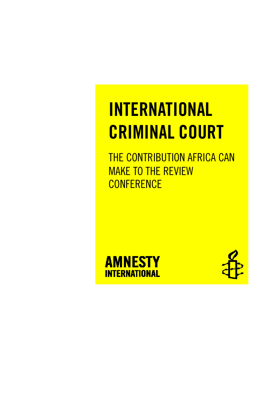# INTERNATIONAL CRIMINAL COURT

THE CONTRIBUTION AFRICA CAN MAKE TO THE REVIEW **CONFERENCE** 



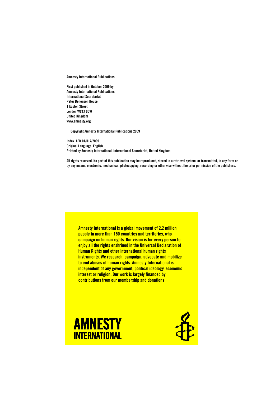Amnesty International Publications

First published in October 2009 by Amnesty International Publications International Secretariat Peter Benenson House 1 Easton Street London WC1X 0DW United Kingdom www.amnesty.org

Copyright Amnesty International Publications 2009

Index: AFR 01/017/2009 Original Language: English Printed by Amnesty International, International Secretariat, United Kingdom

All rights reserved. No part of this publication may be reproduced, stored in a retrieval system, or transmitted, in any form or by any means, electronic, mechanical, photocopying, recording or otherwise without the prior permission of the publishers.

Amnesty International is a global movement of 2.2 million people in more than 150 countries and territories, who campaign on human rights. Our vision is for every person to enjoy all the rights enshrined in the Universal Declaration of Human Rights and other international human rights instruments. We research, campaign, advocate and mobilize to end abuses of human rights. Amnesty International is independent of any government, political ideology, economic interest or religion. Our work is largely financed by contributions from our membership and donations



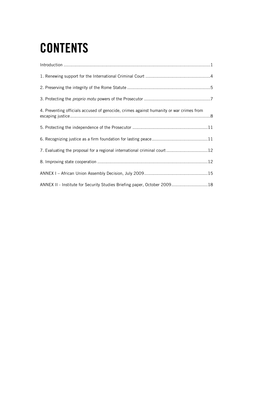# **CONTENTS**

| 4. Preventing officials accused of genocide, crimes against humanity or war crimes from |
|-----------------------------------------------------------------------------------------|
|                                                                                         |
|                                                                                         |
| 7. Evaluating the proposal for a regional international criminal court 12               |
|                                                                                         |
|                                                                                         |
| ANNEX II - Institute for Security Studies Briefing paper, October 200918                |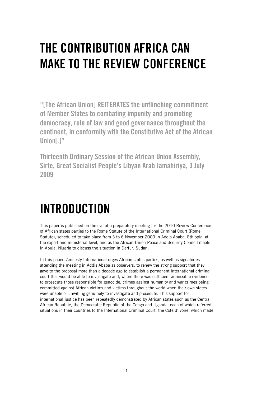# THE CONTRIBUTION AFRICA CAN MAKE TO THE REVIEW CONFERENCE

"[The African Union] REITERATES the unflinching commitment of Member States to combating impunity and promoting democracy, rule of law and good governance throughout the continent, in conformity with the Constitutive Act of the African Union[.]"

Thirteenth Ordinary Session of the African Union Assembly, Sirte, Great Socialist People's Libyan Arab Jamahiriya, 3 July 2009

# INTRODUCTION

This paper is published on the eve of a preparatory meeting for the 2010 Review Conference of African states parties to the Rome Statute of the International Criminal Court (Rome Statute), scheduled to take place from 3 to 6 November 2009 in Addis Ababa, Ethiopia, at the expert and ministerial level, and as the African Union Peace and Security Council meets in Abuja, Nigeria to discuss the situation in Darfur, Sudan.

In this paper, Amnesty International urges African states parties, as well as signatories attending the meeting in Addis Ababa as observers, to renew the strong support that they gave to the proposal more than a decade ago to establish a permanent international criminal court that would be able to investigate and, where there was sufficient admissible evidence, to prosecute those responsible for genocide, crimes against humanity and war crimes being committed against African victims and victims throughout the world when their own states were unable or unwilling genuinely to investigate and prosecute. This support for international justice has been repeatedly demonstrated by African states such as the Central African Republic, the Democratic Republic of the Congo and Uganda, each of which referred situations in their countries to the International Criminal Court; the Côte d'Ivoire, which made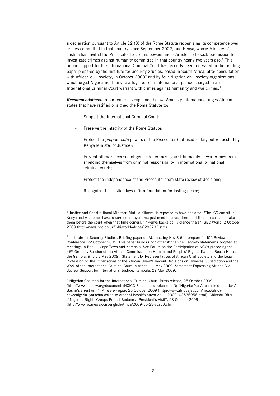a declaration pursuant to Article 12 (3) of the Rome Statute recognizing its competence over crimes committed in that country since September 2002, and Kenya, whose Minister of Justice has invited the Prosecutor to use his powers under Article 15 to seek permission to investigate crimes against humanity committed in that country nearly two years ago. $1$  This public support for the International Criminal Court has recently been reiterated in the briefing paper prepared by the Institute for Security Studies, based in South Africa, after consultation with African civil society, in October 2009<sup>2</sup> and by four Nigerian civil society organizations which urged Nigeria not to invite a fugitive from international justice charged in an International Criminal Court warrant with crimes against humanity and war crimes.<sup>3</sup>

Recommendations. In particular, as explained below, Amnesty International urges African states that have ratified or signed the Rome Statute to:

- Support the International Criminal Court;
- Preserve the integrity of the Rome Statute;

l

- Protect the *proprio motu* powers of the Prosecutor (not used so far, but requested by Kenya Minister of Justice);
- Prevent officials accused of genocide, crimes against humanity or war crimes from shielding themselves from criminal responsibility in international or national criminal courts;
- Protect the independence of the Prosecutor from state review of decisions;
- Recognize that justice lays a firm foundation for lasting peace;

<sup>&</sup>lt;sup>1</sup> Justice and Constitutional Minister, Mutula Kilonzo, is reported to have declared: "The ICC can sit in Kenya and we do not have to surrender anyone we just need to arrest them, put them in cells and take them before the court when that time comes[.]" "Kenya backs poll violence trials", BBC World, 2 October 2009 (http://news.bbc.co.uk/1/hi/world/africa/8286733.stm).

<sup>&</sup>lt;sup>2</sup> Institute for Security Studies, Briefing paper on AU meeting Nov 3-6 to prepare for ICC Review Conference, 22 October 2009. This paper builds upon other African civil society statements adopted at meetings in Banjul, Cape Town and Kampala. See Forum on the Participation of NGOs preceding the 46th Ordinary Session of the African Commission on Human and Peoples' Rights, Karaiba Beach Hotel, the Gambia, 9 to 11 May 2009; Statement by Representatives of African Civil Society and the Legal Profession on the Implications of the African Union's Recent Decisions on Universal Jurisdiction and the Work of the International Criminal Court in Africa, 11 May 2009; Statement Expressing African Civil Society Support for International Justice, Kampala, 29 May 2009.

<sup>&</sup>lt;sup>3</sup> Nigerian Coalition for the International Criminal Court, Press release, 25 October 2009 (http://www.iccnow.org/documents/NCICC-Final\_press\_release.pdf); "Nigeria: Yar'Adua asked to order Al-Bashir's arrest or...", Africa en ligne, 25 October 2009 (http://www.afriquejet.com/news/africanews/nigeria:-yar'adua-asked-to-order-al-bashir's-arrest-or.....-2009102536956.html); Chinedu Offor ,"Nigerian Rights Groups Protest Sudanese President's Visit", 23 October 2009 (http://www.voanews.com/english/Africa/2009-10-23-voa50.cfm).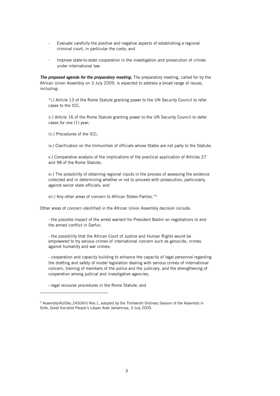- Evaluate carefully the positive and negative aspects of establishing a regional criminal court, in particular the costs; and
- Improve state-to-state cooperation in the investigation and prosecution of crimes under international law.

The proposed agenda for the preparatory meeting. The preparatory meeting, called for by the African Union Assembly on 3 July 2009, is expected to address a broad range of issues, including:

"i.) Article 13 of the Rome Statute granting power to the UN Security Council to refer cases to the ICC;

ii.) Article 16 of the Rome Statute granting power to the UN Security Council to defer cases for one (1) year;

iii.) Procedures of the ICC;

iv.) Clarification on the Immunities of officials whose States are not party to the Statute;

v.) Comparative analysis of the implications of the practical application of Articles 27 and 98 of the Rome Statute;

vi.) The possibility of obtaining regional inputs in the process of assessing the evidence collected and in determining whether or not to proceed with prosecution; particularly against senior state officials; and

vii.) Any other areas of concern to African States Parties."<sup>4</sup>

Other areas of concern identified in the African Union Assembly decision include:

- the possible impact of the arrest warrant for President Bashir on negotiations to end the armed conflict in Darfur;

- the possibility that the African Court of Justice and Human Rights would be empowered to try serious crimes of international concern such as genocide, crimes against humanity and war crimes;

- cooperation and capacity building to enhance the capacity of legal personnel regarding the drafting and safety of model legislation dealing with serious crimes of international concern, training of members of the police and the judiciary, and the strengthening of cooperation among judicial and investigative agencies;

- legal recourse procedures in the Rome Statute; and

j

<sup>4</sup> Assembly/AU/Dec.245(XIII) Rev.1, adopted by the Thirteenth Ordinary Session of the Assembly in Sirte, Great Socialist People's Libyan Arab Jamahiriya, 3 July 2009.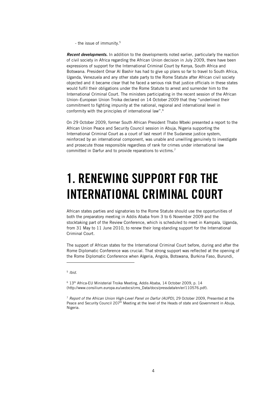- the issue of immunity.<sup>5</sup>

**Recent developments.** In addition to the developments noted earlier, particularly the reaction of civil society in Africa regarding the African Union decision in July 2009, there have been expressions of support for the International Criminal Court by Kenya, South Africa and Botswana. President Omar Al Bashir has had to give up plans so far to travel to South Africa, Uganda, Venezuela and any other state party to the Rome Statute after African civil society objected and it became clear that he faced a serious risk that justice officials in these states would fulfil their obligations under the Rome Statute to arrest and surrender him to the International Criminal Court. The ministers participating in the recent session of the African Union–European Union Troika declared on 14 October 2009 that they "underlined their commitment to fighting impunity at the national, regional and international level in conformity with the principles of international law". 6

On 29 October 2009, former South African President Thabo Mbeki presented a report to the African Union Peace and Security Council session in Abuja, Nigeria supporting the International Criminal Court as a court of last resort if the Sudanese justice system, reinforced by an international component, was unable and unwilling genuinely to investigate and prosecute those responsible regardless of rank for crimes under international law committed in Darfur and to provide reparations to victims.<sup>7</sup>

# 1. RENEWING SUPPORT FOR THE INTERNATIONAL CRIMINAL COURT

African states parties and signatories to the Rome Statute should use the opportunities of both the preparatory meeting in Addis Ababa from 3 to 6 November 2009 and the stocktaking part of the Review Conference, which is scheduled to meet in Kampala, Uganda, from 31 May to 11 June 2010, to renew their long-standing support for the International Criminal Court.

The support of African states for the International Criminal Court before, during and after the Rome Diplomatic Conference was crucial. That strong support was reflected at the opening of the Rome Diplomatic Conference when Algeria, Angola, Botswana, Burkina Faso, Burundi,

-

<sup>5</sup> Ibid.

<sup>&</sup>lt;sup>6</sup> 13<sup>th</sup> Africa-EU Ministerial Troika Meeting, Addis Ababa, 14 October 2009, p. 14 (http://www.consilium.europa.eu/uedocs/cms\_Data/docs/pressdata/en/er/110576.pdf).

 $7$  Report of the African Union High-Level Panel on Darfur (AUPD), 29 October 2009, Presented at the Peace and Security Council 207<sup>th</sup> Meeting at the level of the Heads of state and Government in Abuja, Nigeria.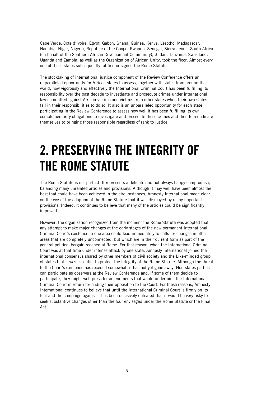Cape Verde, Côte d'Ivoire, Egypt, Gabon, Ghana, Guinea, Kenya, Lesotho, Madagascar, Namibia, Niger, Nigeria, Republic of the Congo, Rwanda, Senegal, Sierra Leone, South Africa (on behalf of the Southern African Development Community), Sudan, Tanzania, Swaziland, Uganda and Zambia, as well as the Organization of African Unity, took the floor. Almost every one of these states subsequently ratified or signed the Rome Statute.

The stocktaking of international justice component of the Review Conference offers an unparalleled opportunity for African states to assess, together with states from around the world, how vigorously and effectively the International Criminal Court has been fulfilling its responsibility over the past decade to investigate and prosecute crimes under international law committed against African victims and victims from other states when their own states fail in their responsibilities to do so. It also is an unparalleled opportunity for each state participating in the Review Conference to assess how well it has been fulfilling its own complementarity obligations to investigate and prosecute these crimes and then to rededicate themselves to bringing those responsible regardless of rank to justice.

# 2. PRESERVING THE INTEGRITY OF THE ROME STATUTE

The Rome Statute is not perfect. It represents a delicate and not always happy compromise, balancing many unrelated articles and provisions. Although it may well have been almost the best that could have been achieved in the circumstances, Amnesty International made clear on the eve of the adoption of the Rome Statute that it was dismayed by many important provisions. Indeed, it continues to believe that many of the articles could be significantly improved.

However, the organization recognized from the moment the Rome Statute was adopted that any attempt to make major changes at the early stages of the new permanent International Criminal Court's existence in one area could lead immediately to calls for changes in other areas that are completely unconnected, but which are in their current form as part of the general political bargain reached at Rome. For that reason, when the International Criminal Court was at that time under intense attack by one state, Amnesty International joined the international consensus shared by other members of civil society and the Like-minded group of states that it was essential to protect the integrity of the Rome Statute. Although the threat to the Court's existence has receded somewhat, it has not yet gone away. Non-states parties can participate as observers at the Review Conference and, if some of them decide to participate, they might well press for amendments that would undermine the International Criminal Court in return for ending their opposition to the Court. For these reasons, Amnesty International continues to believe that until the International Criminal Court is firmly on its feet and the campaign against it has been decisively defeated that it would be very risky to seek substantive changes other than the four envisaged under the Rome Statute or the Final Act.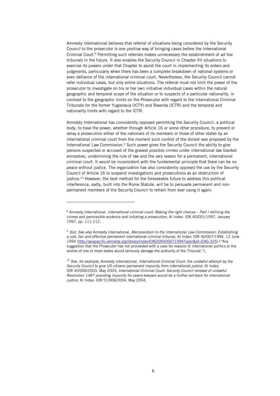Amnesty International believes that referral of situations being considered by the Security Council to the prosecutor is one positive way of bringing cases before the International Criminal Court.<sup>8</sup> Permitting such referrals makes unnecessary the establishment of ad hoc tribunals in the future. It also enables the Security Council in Chapter VII situations to exercise its powers under that Chapter to assist the court in implementing its orders and judgments, particularly when there has been a complete breakdown of national systems or even defiance of the international criminal court. Nevertheless, the Security Council cannot refer individual cases, but only entire situations. The referral must not limit the power of the prosecutor to investigate on his or her own initiative individual cases within the natural geographic and temporal scope of the situation or to suspects of a particular nationality, in contrast to the geographic limits on the Prosecutor with regard to the International Criminal Tribunals for the former Yugoslavia (ICTY) and Rwanda (ICTR) and the temporal and nationality limits with regard to the ICTR.

Amnesty International has consistently opposed permitting the Security Council, a political body, to have the power, whether through Article 16 or some other procedure, to prevent or delay a prosecution either of the nationals of its members or those of other states by an international criminal court from the moment such control of the docket was proposed by the International Law Commission.<sup>9</sup> Such power gives the Security Council the ability to give persons suspected or accused of the gravest possible crimes under international law blanket amnesties, undermining the rule of law and the very reason for a permanent, international criminal court. It would be inconsistent with the fundamental principle that there can be no peace without justice. The organization has also consistently opposed the use by the Security Council of Article 16 to suspend investigations and prosecutions as an obstruction of justice.<sup>10</sup> However, the best method for the foreseeable future to address this political interference, sadly, built into the Rome Statute, will be to persuade permanent and nonpermanent members of the Security Council to refrain from ever using it again.

l

<sup>&</sup>lt;sup>8</sup> Amnesty International, International criminal court: Making the right choices – Part I defining the crimes and permissible evidence and initiating a prosecution, AI Index: IOR 40/001/1997, January 1997, pp. 111-112.

<sup>&</sup>lt;sup>9</sup> Ibid. See also Amnesty International, Memorandum to the International Law Commission: Establishing a just, fair and effective permanent international criminal tribunal, AI Index: IOR 40/007/1994, 12 June 1994 (http://asiapacific.amnesty.org/library/Index/ENGIOR400071994?open&of=ENG-325) ("Any suggestion that the Prosecutor has not proceeded with a case for reasons of international politics or the wishes of one or more states would seriously damage the authority of the Tribunal.").

 $10$  See, for example, Amnesty International, International Criminal Court: the unlawful attempt by the Security Council to give US citizens permanent impunity from international justice, AI Index: IOR 40/006/2003, May 2003; International Criminal Court: Security Council renewal of unlawful Resolution 1487 providing impunity for peace-keepers would be a further set-back for international justice, AI Index: IOR 51/006/2004, May 2004.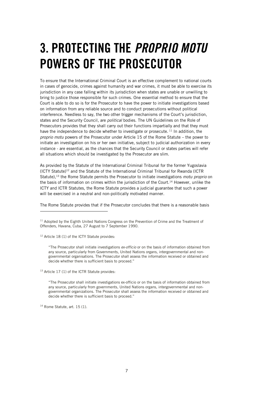# 3. PROTECTING THE PROPRIO MOTU POWERS OF THE PROSECUTOR

To ensure that the International Criminal Court is an effective complement to national courts in cases of genocide, crimes against humanity and war crimes, it must be able to exercise its jurisdiction in any case falling within its jurisdiction when states are unable or unwilling to bring to justice those responsible for such crimes. One essential method to ensure that the Court is able to do so is for the Prosecutor to have the power to initiate investigations based on information from any reliable source and to conduct prosecutions without political interference. Needless to say, the two other trigger mechanisms of the Court's jurisdiction, states and the Security Council, are *political* bodies. The UN Guidelines on the Role of Prosecutors provides that they shall carry out their functions impartially and that they must have the independence to decide whether to investigate or prosecute.<sup>11</sup> In addition, the proprio motu powers of the Prosecutor under Article 15 of the Rome Statute – the power to initiate an investigation on his or her own initiative, subject to judicial authorization in every instance - are essential, as the chances that the Security Council or states parties will refer all situations which should be investigated by the Prosecutor are slim.

As provided by the Statute of the International Criminal Tribunal for the former Yugoslavia  $(ICTY$  Statute)<sup>12</sup> and the Statute of the International Criminal Tribunal for Rwanda (ICTR Statute),<sup>13</sup> the Rome Statute permits the Prosecutor to initiate investigations *motu proprio* on the basis of information on crimes within the jurisdiction of the Court.<sup>14</sup> However, unlike the ICTY and ICTR Statutes, the Rome Statute provides a judicial guarantee that such a power will be exercised in a neutral and non-politically motivated manner.

The Rome Statute provides that if the Prosecutor concludes that there is a reasonable basis

<sup>12</sup> Article 18 (1) of the ICTY Statute provides:

j

"The Prosecutor shall initiate investigations ex-officio or on the basis of information obtained from any source, particularly from Governments, United Nations organs, intergovernmental and nongovernmental organisations. The Prosecutor shall assess the information received or obtained and decide whether there is sufficient basis to proceed."

<sup>13</sup> Article 17 (1) of the ICTR Statute provides:

"The Prosecutor shall initiate investigations ex-officio or on the basis of information obtained from any source, particularly from governments, United Nations organs, intergovernmental and nongovernmental organizations. The Prosecutor shall assess the information received or obtained and decide whether there is sufficient basis to proceed."

 $14$  Rome Statute, art. 15 (1).

 $11$  Adopted by the Eighth United Nations Congress on the Prevention of Crime and the Treatment of Offenders, Havana, Cuba, 27 August to 7 September 1990.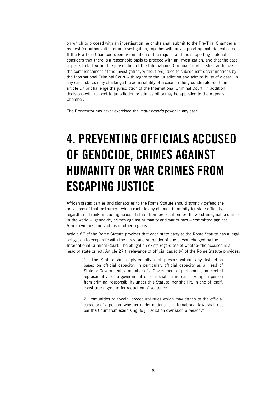on which to proceed with an investigation he or she shall submit to the Pre-Trial Chamber a request for authorization of an investigation, together with any supporting material collected. If the Pre-Trial Chamber, upon examination of the request and the supporting material, considers that there is a reasonable basis to proceed with an investigation, and that the case appears to fall within the jurisdiction of the International Criminal Court, it shall authorize the commencement of the investigation, without prejudice to subsequent determinations by the International Criminal Court with regard to the jurisdiction and admissibility of a case. In any case, states may challenge the admissibility of a case on the grounds referred to in article 17 or challenge the jurisdiction of the International Criminal Court. In addition, decisions with respect to jurisdiction or admissibility may be appealed to the Appeals Chamber.

The Prosecutor has never exercised the motu proprio power in anv case.

# 4. PREVENTING OFFICIALS ACCUSED OF GENOCIDE, CRIMES AGAINST HUMANITY OR WAR CRIMES FROM ESCAPING JUSTICE

African states parties and signatories to the Rome Statute should strongly defend the provisions of that instrument which exclude any claimed immunity for state officials, regardless of rank, including heads of state, from prosecution for the worst imaginable crimes in the world – genocide, crimes against humanity and war crimes – committed against African victims and victims in other regions.

Article 86 of the Rome Statute provides that each state party to the Rome Statute has a legal obligation to cooperate with the arrest and surrender of any person charged by the International Criminal Court. The obligation exists regardless of whether the accused is a head of state or not. Article 27 (Irrelevance of official capacity) of the Rome Statute provides:

"1. This Statute shall apply equally to all persons without any distinction based on official capacity. In particular, official capacity as a Head of State or Government, a member of a Government or parliament, an elected representative or a government official shall in no case exempt a person from criminal responsibility under this Statute, nor shall it, in and of itself, constitute a ground for reduction of sentence.

2. Immunities or special procedural rules which may attach to the official capacity of a person, whether under national or international law, shall not bar the Court from exercising its jurisdiction over such a person."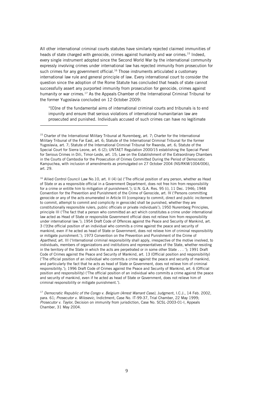All other international criminal courts statutes have similarly rejected claimed immunities of heads of state charged with genocide, crimes against humanity and war crimes.<sup>15</sup> Indeed, every single instrument adopted since the Second World War by the international community expressly involving crimes under international law has rejected immunity from prosecution for such crimes for any government official.<sup>16</sup> Those instruments articulated a customary international law rule and general principle of law. Every international court to consider the question since the adoption of the Rome Statute has concluded that heads of state cannot successfully assert any purported immunity from prosecution for genocide, crimes against humanity or war crimes.<sup>17</sup> As the Appeals Chamber of the International Criminal Tribunal for the former Yugoslavia concluded on 12 October 2009:

"[O]ne of the fundamental aims of international criminal courts and tribunals is to end impunity and ensure that serious violations of international humanitarian law are prosecuted and punished. Individuals accused of such crimes can have no legitimate

j

<sup>16</sup> Allied Control Council Law No.10, art. II (4) (a) ('The official position of any person, whether as Head of State or as a responsible official in a Government Department, does not free him from responsibility for a crime or entitle him to mitigation of punishment.'); U.N. G.A. Res. 95 (i), 11 Dec. 1946; 1948 Convention for the Prevention and Punishment of the Crime of Genocide, art. IV ('Persons committing genocide or any of the acts enumerated in Article III [conspiracy to commit, direct and public incitement to commit, attempt to commit and complicity in genocide] shall be punished, whether they are constitutionally responsible rulers, public officials or private individuals'); 1950 Nuremberg Principles, principle III ('The fact that a person who committed an act which constitutes a crime under international law acted as Head of State or responsible Government official does not relieve him from responsibility under international law.'); 1954 Draft Code of Offences against the Peace and Security of Mankind, art. 3 ('[t]he official position of an individual who commits a crime against the peace and security of mankind, even if he acted as head of State or Government, does not relieve him of criminal responsibility or mitigate punishment.'); 1973 Convention on the Prevention and Punishment of the Crime of Apartheid, art. III ('International criminal responsibility shall apply, irrespective of the motive involved, to individuals, members of organizations and institutions and representatives of the State, whether residing in the territory of the State in which the acts are perpetrated or in some other State . . . '); 1991 Draft Code of Crimes against the Peace and Security of Mankind, art. 13 (Official position and responsibility) ('The official position of an individual who commits a crime against the peace and security of mankind, and particularly the fact that he acts as head of State or Government, does not relieve him of criminal responsibility.'); 1996 Draft Code of Crimes against the Peace and Security of Mankind, art. 6 (Official position and responsibility) ('The official position of an individual who commits a crime against the peace and security of mankind, even if he acted as head of State or Government, does not relieve him of criminal responsibility or mitigate punishment.').

<sup>17</sup> Democratic Republic of the Congo v. Belgium (Arrest Warrant Case), Judgment, I.C.J., 14 Feb. 2002, para. 61; Prosecutor v. Milosevic, Indictment, Case No. IT-99-37, Trial Chamber, 22 May 1999; Prosecutor v. Taylor, Decision on immunity from jurisdiction, Case No. SCSL-2003-01-I, Appeals Chamber, 31 May 2004.

<sup>&</sup>lt;sup>15</sup> Charter of the International Military Tribunal at Nuremberg, art. 7; Charter for the International Military Tribunal of the Far East, art. 6; Statute of the International Criminal Tribunal for the former Yugoslavia, art. 7; Statute of the International Criminal Tribunal for Rwanda, art. 6; Statute of the Special Court for Sierra Leone, art. 6 (2); UNTAET Regulation 2000/15 establishing the Special Panel for Serious Crimes in Dili, Timor-Leste, art. 15; Law on the Establishment of the Extraordinary Chambers in the Courts of Cambodia for the Prosecution of Crimes Committed During the Period of Democratic Kampuchea, with inclusion of amendments as promulgated on 27 October 2004 (NS/RKM/1004/006), art. 29.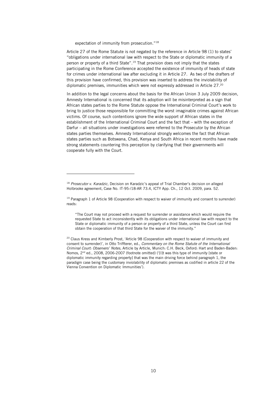expectation of immunity from prosecution."<sup>18</sup>

-

Article 27 of the Rome Statute is not negated by the reference in Article 98 (1) to states' "obligations under international law with respect to the State or diplomatic immunity of a person or property of a third State".<sup>19</sup> That provision does not imply that the states participating in the Rome Conference accepted the existence of immunity of heads of state for crimes under international law after excluding it in Article 27. As two of the drafters of this provision have confirmed, this provision was inserted to address the inviolability of diplomatic premises, immunities which were not expressly addressed in Article 27.<sup>20</sup>

In addition to the legal concerns about the basis for the African Union 3 July 2009 decision, Amnesty International is concerned that its adoption will be misinterpreted as a sign that African states parties to the Rome Statute oppose the International Criminal Court's work to bring to justice those responsible for committing the worst imaginable crimes against African victims. Of course, such contentions ignore the wide support of African states in the establishment of the International Criminal Court and the fact that – with the exception of Darfur – all situations under investigations were referred to the Prosecutor by the African states parties themselves. Amnesty International strongly welcomes the fact that African states parties such as Botswana, Chad, Kenya and South Africa in recent months have made strong statements countering this perception by clarifying that their governments will cooperate fully with the Court.

<sup>&</sup>lt;sup>18</sup> Prosecutor v. Karadzic, Decision on Karadzic's appeal of Trial Chamber's decision on alleged Holbrooke agreement, Case No. IT-95-/18-AR 73.4, ICTY App. Ch., 12 Oct. 2009, para. 52.

<sup>&</sup>lt;sup>19</sup> Paragraph 1 of Article 98 (Cooperation with respect to waiver of immunity and consent to surrender) reads:

<sup>&</sup>quot;The Court may not proceed with a request for surrender or assistance which would require the requested State to act inconsistently with its obligations under international law with respect to the State or diplomatic immunity of a person or property of a third State, unless the Court can first obtain the cooperation of that third State for the waiver of the immunity."

<sup>&</sup>lt;sup>20</sup> Claus Kress and Kimberly Prost, 'Article 98 (Cooperation with respect to waiver of immunity and consent to surrender)', in Otto Triffterer, ed., Commentary on the Rome Statute of the International Criminal Court: Observers' Notes, Article by Article, Munich: C.H. Beck, Oxford: Hart and Baden-Baden: Nomos, 2nd ed., 2008, 2006-2007 (footnote omitted) ('[I]t was this type of immunity [state or diplomatic immunity regarding property] that was the main driving force behind paragraph 1, the paradigm case being the customary inviolability of diplomatic premises as codified in article 22 of the Vienna Convention on Diplomatic Immunities').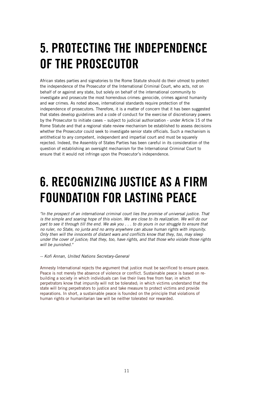# 5. PROTECTING THE INDEPENDENCE OF THE PROSECUTOR

African states parties and signatories to the Rome Statute should do their utmost to protect the independence of the Prosecutor of the International Criminal Court, who acts, not on behalf of or against any state, but solely on behalf of the international community to investigate and prosecute the most horrendous crimes: genocide, crimes against humanity and war crimes. As noted above, international standards require protection of the independence of prosecutors. Therefore, it is a matter of concern that it has been suggested that states develop guidelines and a code of conduct for the exercise of discretionary powers by the Prosecutor to initiate cases – subject to judicial authorization - under Article 15 of the Rome Statute and that a regional state review mechanism be established to assess decisions whether the Prosecutor could seek to investigate senior state officials. Such a mechanism is antithetical to any competent, independent and impartial court and must be squarely rejected. Indeed, the Assembly of States Parties has been careful in its consideration of the question of establishing an oversight mechanism for the International Criminal Court to ensure that it would not infringe upon the Prosecutor's independence.

# 6. RECOGNIZING JUSTICE AS A FIRM FOUNDATION FOR LASTING PEACE

"In the prospect of an international criminal court lies the promise of universal justice. That is the simple and soaring hope of this vision. We are close to its realization. We will do our part to see it through till the end. We ask you . . . to do yours in our struggle to ensure that no ruler, no State, no junta and no army anywhere can abuse human rights with impunity. Only then will the innocents of distant wars and conflicts know that they, too, may sleep under the cover of justice; that they, too, have rights, and that those who violate those rights will be punished."

-- Kofi Annan, United Nations Secretary-General

Amnesty International rejects the argument that justice must be sacrificed to ensure peace. Peace is not merely the absence of violence or conflict. Sustainable peace is based on rebuilding a society in which individuals can live their lives free from fear; in which perpetrators know that impunity will not be tolerated; in which victims understand that the state will bring perpetrators to justice and take measure to protect victims and provide reparations. In short, a sustainable peace is founded on the principle that violations of human rights or humanitarian law will be neither tolerated nor rewarded.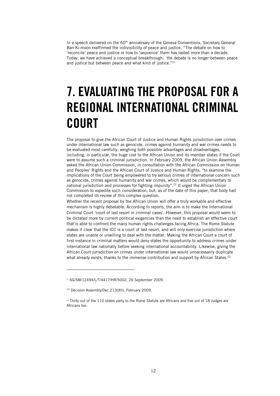In a speech delivered on the  $60<sup>th</sup>$  anniversary of the Geneva Conventions, Secretary General Ban Ki-moon reaffirmed the indivisibility of peace and justice, "The debate on how to 'reconcile' peace and justice or how to 'sequence' them has lasted more than a decade. Today, we have achieved a conceptual breakthrough: the debate is no longer between peace and justice but between peace and what kind of justice."<sup>21</sup>

# 7. EVALUATING THE PROPOSAL FOR A REGIONAL INTERNATIONAL CRIMINAL **COURT**

The proposal to give the African Court of Justice and Human Rights jurisdiction over crimes under international law such as genocide, crimes against humanity and war crimes needs to be evaluated most carefully, weighing both possible advantages and disadvantages, including, in particular, the huge cost to the African Union and its member states if the Court were to assume such a criminal jurisdiction. In February 2009, the African Union Assembly asked the African Union Commission, in consultation with the African Commission on Human and Peoples' Rights and the African Court of Justice and Human Rights, "to examine the implications of the Court being empowered to try serious crimes of international concern such as genocide, crimes against humanity and war crimes, which would be complementary to national jurisdiction and processes for fighting impunity".<sup>22</sup> It urged the African Union Commission to expedite such consideration, but, as of the date of this paper, that body had not completed its review of this complex question.

Whether the recent proposal by the African Union will offer a truly workable and effective mechanism is highly debatable. According to reports, the aim is to make the International Criminal Court 'court of last resort in criminal cases'. However, this proposal would seem to be dictated more by current political exigencies than the need to establish an effective court that is able to confront the many human rights challenges facing Africa. The Rome Statute makes it clear that the ICC is a court of last resort, and will only exercise jurisdiction where states are unable or unwilling to deal with the matter. Making the African Court a court of first instance in criminal matters would deny states the opportunity to address crimes under international law nationally before seeking international accountability. Likewise, giving the African Court jurisdiction on crimes under international law would unnecessarily duplicate what already exists, thanks to the immense contribution and support by African States.<sup>23</sup>

-

<sup>21</sup> SG/SM/12494/L/T/4417/HR/5002, 26 September 2009.

<sup>&</sup>lt;sup>22</sup> Decision Assembly/Dec.213(XII), February 2009.

<sup>23</sup> Thirty out of the 110 states party to the Rome Statute are Africans and five out of 18 Judges are Africans too.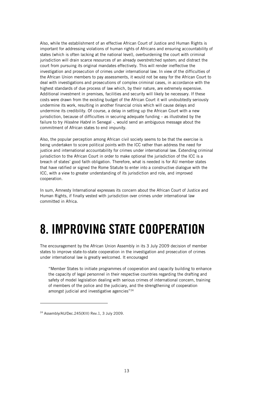Also, while the establishment of an effective African Court of Justice and Human Rights is important for addressing violations of human rights of Africans and ensuring accountability of states (which is often lacking at the national level), overburdening the court with criminal jurisdiction will drain scarce resources of an already overstretched system; and distract the court from pursuing its original mandates effectively. This will render ineffective the investigation and prosecution of crimes under international law. In view of the difficulties of the African Union members to pay assessments, it would not be easy for the African Court to deal with investigations and prosecutions of complex criminal cases, in accordance with the highest standards of due process of law which, by their nature, are extremely expensive. Additional investment in premises, facilities and security will likely be necessary. If these costs were drawn from the existing budget of the African Court it will undoubtedly seriously undermine its work, resulting in another financial crisis which will cause delays and undermine its credibility. Of course, a delay in setting up the African Court with a new jurisdiction, because of difficulties in securing adequate funding – as illustrated by the failure to try Hissène Habré in Senegal -, would send an ambiguous message about the commitment of African states to end impunity.

Also, the popular perception among African civil society seems to be that the exercise is being undertaken to score political points with the ICC rather than address the need for justice and international accountability for crimes under international law. Extending criminal jurisdiction to the African Court in order to make optional the jurisdiction of the ICC is a breach of states' good faith obligation. Therefore, what is needed is for AU member states that have ratified or signed the Rome Statute to enter into a constructive dialogue with the ICC, with a view to greater understanding of its jurisdiction and role, and improved cooperation.

In sum, Amnesty International expresses its concern about the African Court of Justice and Human Rights, if finally vested with jurisdiction over crimes under international law committed in Africa.

# 8. IMPROVING STATE COOPERATION

The encouragement by the African Union Assembly in its 3 July 2009 decision of member states to improve state-to-state cooperation in the investigation and prosecution of crimes under international law is greatly welcomed. It encouraged

"Member States to initiate programmes of cooperation and capacity building to enhance the capacity of legal personnel in their respective countries regarding the drafting and safety of model legislation dealing with serious crimes of international concern, training of members of the police and the judiciary, and the strengthening of cooperation amongst judicial and investigative agencies"<sup>24</sup>

j

<sup>24</sup> Assembly/AU/Dec.245(XIII) Rev.1, 3 July 2009.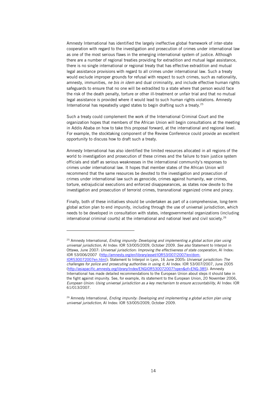Amnesty International has identified the largely ineffective global framework of inter-state cooperation with regard to the investigation and prosecution of crimes under international law as one of the most serious flaws in the emerging international system of justice. Although there are a number of regional treaties providing for extradition and mutual legal assistance, there is no single international or regional treaty that has effective extradition and mutual legal assistance provisions with regard to all crimes under international law. Such a treaty would exclude improper grounds for refusal with respect to such crimes, such as nationality, amnesty, immunities, ne bis in idem and dual criminality, and include effective human rights safeguards to ensure that no one will be extradited to a state where that person would face the risk of the death penalty, torture or other ill-treatment or unfair trial and that no mutual legal assistance is provided where it would lead to such human rights violations. Amnesty International has repeatedly urged states to begin drafting such a treaty.<sup>25</sup>

Such a treaty could complement the work of the International Criminal Court and the organization hopes that members of the African Union will begin consultations at the meeting in Addis Ababa on how to take this proposal forward, at the international and regional level. For example, the stocktaking component of the Review Conference could provide an excellent opportunity to discuss how to draft such a treaty.

Amnesty International has also identified the limited resources allocated in all regions of the world to investigation and prosecution of these crimes and the failure to train justice system officials and staff as serious weaknesses in the international community's responses to crimes under international law. It hopes that member states of the African Union will recommend that the same resources be devoted to the investigation and prosecution of crimes under international law such as genocide, crimes against humanity, war crimes, torture, extrajudicial executions and enforced disappearances, as states now devote to the investigation and prosecution of terrorist crimes, transnational organized crime and piracy.

Finally, both of these initiatives should be undertaken as part of a comprehensive, long-term global action plan to end impunity, including through the use of universal jurisdiction, which needs to be developed in consultation with states, intergovernmental organizations (including international criminal courts) at the international and national level and civil society.<sup>26</sup>

-

 $25$  Amnesty International, Ending impunity: Developing and implementing a global action plan using universal jurisdiction, AI Index: IOR 53/005/2009, October 2009. See also Statement to Interpol in Ottawa, June 2007: Universal jurisdiction: Improving the effectiveness of state cooperation, AI Index: IOR 53/006/2007 (http://amnesty.org/en/library/asset/IOR53/007/2007/en/dom-IOR530072007en.html); Statement to Interpol in Lyon, 16 June 2005: Universal jurisdiction: The challenges for police and prosecuting authorities in using it, AI Index: IOR 53/007/2007, June 2005 (http://asiapacific.amnesty.org/library/Index/ENGIOR530072007?open&of=ENG-385). Amnesty International has made detailed recommendations to the European Union about steps it should take in the fight against impunity. See, for example, its statement to the European Union, 20 November 2006, European Union: Using universal jurisdiction as a key mechanism to ensure accountability, AI Index: IOR 61/013/2007.

<sup>&</sup>lt;sup>26</sup> Amnesty International, Ending impunity: Developing and implementing a global action plan using universal jurisdiction, AI Index: IOR 53/005/2009, October 2009.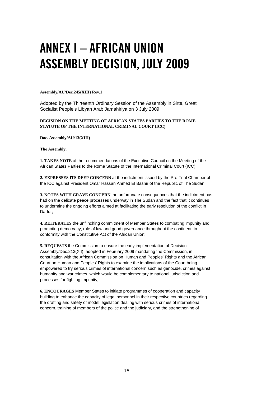# ANNEX I – AFRICAN UNION ASSEMBLY DECISION, JULY 2009

#### **Assembly/AU/Dec.245(XIII) Rev.1**

Adopted by the Thirteenth Ordinary Session of the Assembly in Sirte, Great Socialist People's Libyan Arab Jamahiriya on 3 July 2009

#### **DECISION ON THE MEETING OF AFRICAN STATES PARTIES TO THE ROME STATUTE OF THE INTERNATIONAL CRIMINAL COURT (ICC)**

**Doc. Assembly/AU/13(XIII)** 

**The Assembly,** 

**1. TAKES NOTE** of the recommendations of the Executive Council on the Meeting of the African States Parties to the Rome Statute of the International Criminal Court (ICC);

**2. EXPRESSES ITS DEEP CONCERN** at the indictment issued by the Pre-Trial Chamber of the ICC against President Omar Hassan Ahmed El Bashir of the Republic of The Sudan;

**3. NOTES WITH GRAVE CONCERN** the unfortunate consequences that the indictment has had on the delicate peace processes underway in The Sudan and the fact that it continues to undermine the ongoing efforts aimed at facilitating the early resolution of the conflict in Darfur;

**4. REITERATES** the unflinching commitment of Member States to combating impunity and promoting democracy, rule of law and good governance throughout the continent, in conformity with the Constitutive Act of the African Union;

**5. REQUESTS** the Commission to ensure the early implementation of Decision Assembly/Dec.213(XII), adopted in February 2009 mandating the Commission, in consultation with the African Commission on Human and Peoples' Rights and the African Court on Human and Peoples' Rights to examine the implications of the Court being empowered to try serious crimes of international concern such as genocide, crimes against humanity and war crimes, which would be complementary to national jurisdiction and processes for fighting impunity;

**6. ENCOURAGES** Member States to initiate programmes of cooperation and capacity building to enhance the capacity of legal personnel in their respective countries regarding the drafting and safety of model legislation dealing with serious crimes of international concern, training of members of the police and the judiciary, and the strengthening of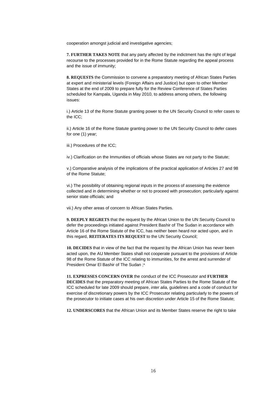cooperation amongst judicial and investigative agencies;

**7. FURTHER TAKES NOTE** that any party affected by the indictment has the right of legal recourse to the processes provided for in the Rome Statute regarding the appeal process and the issue of immunity;

**8. REQUESTS** the Commission to convene a preparatory meeting of African States Parties at expert and ministerial levels (Foreign Affairs and Justice) but open to other Member States at the end of 2009 to prepare fully for the Review Conference of States Parties scheduled for Kampala, Uganda in May 2010, to address among others, the following issues:

i.) Article 13 of the Rome Statute granting power to the UN Security Council to refer cases to the ICC;

ii.) Article 16 of the Rome Statute granting power to the UN Security Council to defer cases for one (1) year;

iii.) Procedures of the ICC;

iv.) Clarification on the Immunities of officials whose States are not party to the Statute;

v.) Comparative analysis of the implications of the practical application of Articles 27 and 98 of the Rome Statute;

vi.) The possibility of obtaining regional inputs in the process of assessing the evidence collected and in determining whether or not to proceed with prosecution; particularly against senior state officials; and

vii.) Any other areas of concern to African States Parties.

**9. DEEPLY REGRETS** that the request by the African Union to the UN Security Council to defer the proceedings initiated against President Bashir of The Sudan in accordance with Article 16 of the Rome Statute of the ICC, has neither been heard nor acted upon, and in this regard, **REITERATES ITS REQUEST** to the UN Security Council;

**10. DECIDES** that in view of the fact that the request by the African Union has never been acted upon, the AU Member States shall not cooperate pursuant to the provisions of Article 98 of the Rome Statute of the ICC relating to immunities, for the arrest and surrender of President Omar El Bashir of The Sudan ;\*

**11. EXPRESSES CONCERN OVER** the conduct of the ICC Prosecutor and **FURTHER DECIDES** that the preparatory meeting of African States Parties to the Rome Statute of the ICC scheduled for late 2009 should prepare, inter alia, guidelines and a code of conduct for exercise of discretionary powers by the ICC Prosecutor relating particularly to the powers of the prosecutor to initiate cases at his own discretion under Article 15 of the Rome Statute;

**12. UNDERSCORES** that the African Union and its Member States reserve the right to take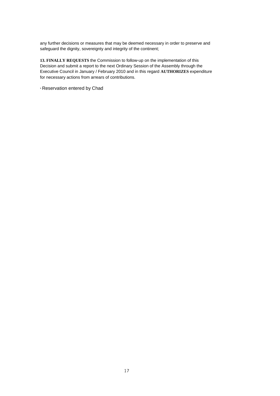any further decisions or measures that may be deemed necessary in order to preserve and safeguard the dignity, sovereignty and integrity of the continent;

**13. FINALLY REQUESTS** the Commission to follow-up on the implementation of this Decision and submit a report to the next Ordinary Session of the Assembly through the Executive Council in January / February 2010 and in this regard **AUTHORIZES** expenditure for necessary actions from arrears of contributions.

\* Reservation entered by Chad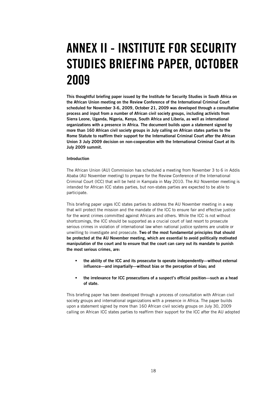# ANNEX II - INSTITUTE FOR SECURITY STUDIES BRIEFING PAPER, OCTOBER 2009

This thoughtful briefing paper issued by the Institute for Security Studies in South Africa on the African Union meeting on the Review Conference of the International Criminal Court scheduled for November 3-6, 2009, October 21, 2009 was developed through a consultative process and input from a number of African civil society groups, including activists from Sierra Leone, Uganda, Nigeria, Kenya, South Africa and Liberia, as well as international organizations with a presence in Africa. The document builds upon a statement signed by more than 160 African civil society groups in July calling on African states parties to the Rome Statute to reaffirm their support for the International Criminal Court after the African Union 3 July 2009 decision on non-cooperation with the International Criminal Court at its July 2009 summit.

#### Introduction

The African Union (AU) Commission has scheduled a meeting from November 3 to 6 in Addis Ababa (AU November meeting) to prepare for the Review Conference of the International Criminal Court (ICC) that will be held in Kampala in May 2010. The AU November meeting is intended for African ICC states parties, but non-states parties are expected to be able to participate.

This briefing paper urges ICC states parties to address the AU November meeting in a way that will protect the mission and the mandate of the ICC to ensure fair and effective justice for the worst crimes committed against Africans and others. While the ICC is not without shortcomings, the ICC should be supported as a crucial court of last resort to prosecute serious crimes in violation of international law when national justice systems are unable or unwilling to investigate and prosecute. Two of the most fundamental principles that should be protected at the AU November meeting, which are essential to avoid politically motivated manipulation of the court and to ensure that the court can carry out its mandate to punish the most serious crimes, are:

- the ability of the ICC and its prosecutor to operate independently—without external influence—and impartially—without bias or the perception of bias; and
- the irrelevance for ICC prosecutions of a suspect's official position—such as a head of state.

This briefing paper has been developed through a process of consultation with African civil society groups and international organizations with a presence in Africa. The paper builds upon a statement signed by more than 160 African civil society groups on July 30, 2009 calling on African ICC states parties to reaffirm their support for the ICC after the AU adopted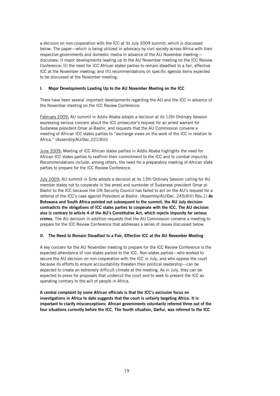a decision on non-cooperation with the ICC at its July 2009 summit, which is discussed below. The paper—which is being utilized in advocacy by civil society across Africa with their respective governments and domestic media in advance of the AU November meeting discusses: I) major developments leading up to the AU November meeting on the ICC Review Conference; II) the need for ICC African states parties to remain steadfast to a fair, effective ICC at the November meeting; and III) recommendations on specific agenda items expected to be discussed at the November meeting.

#### I. Major Developments Leading Up to the AU November Meeting on the ICC

There have been several important developments regarding the AU and the ICC in advance of the November meeting on the ICC Review Conference:

February 2009: AU summit in Addis Ababa adopts a decision at its 12th Ordinary Session expressing serious concern about the ICC prosecutor's request for an arrest warrant for Sudanese president Omar al-Bashir, and requests that the AU Commission convene a meeting of African ICC states parties to "exchange views on the work of the ICC in relation to Africa." (Assembly/AU/Dec.221(XII))

June 2009: Meeting of ICC African states parties in Addis Ababa highlights the need for African ICC states parties to reaffirm their commitment to the ICC and to combat impunity. Recommendations include, among others, the need for a preparatory meeting of African state parties to prepare for the ICC Review Conference.

July 2009: AU summit in Sirte adopts a decision at its 13th Ordinary Session calling for AU member states not to cooperate in the arrest and surrender of Sudanese president Omar al-Bashir to the ICC because the UN Security Council has failed to act on the AU's request for a deferral of the ICC's case against President al-Bashir. (Assembly/AU/Dec. 245(XIII) Rev.1) As Botswana and South Africa pointed out subsequent to the summit, the AU July decision contradicts the obligations of ICC states parties to cooperate with the ICC. The AU decision also is contrary to article 4 of the AU's Constitutive Act, which rejects impunity for serious crimes. The AU decision in addition requests that the AU Commission convene a meeting to prepare for the ICC Review Conference that addresses a series of issues discussed below.

#### II. The Need to Remain Steadfast to a Fair, Effective ICC at the AU November Meeting

A key concern for the AU November meeting to prepare for the ICC Review Conference is the expected attendance of non-states parties to the ICC. Non-states parties—who worked to secure the AU decision on non-cooperation with the ICC in July, and who oppose the court because its efforts to ensure accountability threaten their political leadership—can be expected to create an extremely difficult climate at the meeting. As in July, they can be expected to press for proposals that undercut the court and to seek to present the ICC as operating contrary to the will of people in Africa.

A central complaint by some African officials is that the ICC's exclusive focus on investigations in Africa to date suggests that the court is unfairly targeting Africa. It is important to clarify misconceptions: African governments voluntarily referred three out of the four situations currently before the ICC. The fourth situation, Darfur, was referred to the ICC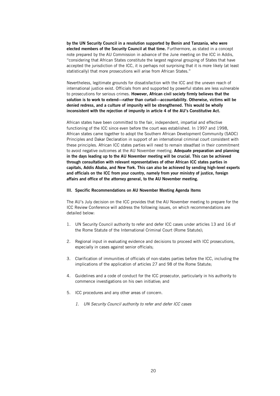by the UN Security Council in a resolution supported by Benin and Tanzania, who were elected members of the Security Council at that time. Furthermore, as stated in a concept note prepared by the AU Commission in advance of the June meeting on the ICC in Addis, "considering that African States constitute the largest regional grouping of States that have accepted the jurisdiction of the ICC, it is perhaps not surprising that it is more likely (at least statistically) that more prosecutions will arise from African States."

Nevertheless, legitimate grounds for dissatisfaction with the ICC and the uneven reach of international justice exist. Officials from and supported by powerful states are less vulnerable to prosecutions for serious crimes. However, African civil society firmly believes that the solution is to work to extend—rather than curtail—accountability. Otherwise, victims will be denied redress, and a culture of impunity will be strengthened. This would be wholly inconsistent with the rejection of impunity in article 4 of the AU's Constitutive Act.

African states have been committed to the fair, independent, impartial and effective functioning of the ICC since even before the court was established. In 1997 and 1998, African states came together to adopt the Southern African Development Community (SADC) Principles and Dakar Declaration in support of an international criminal court consistent with these principles. African ICC states parties will need to remain steadfast in their commitment to avoid negative outcomes at the AU November meeting. Adequate preparation and planning in the days leading up to the AU November meeting will be crucial. This can be achieved through consultation with relevant representatives of other African ICC states parties in capitals, Addis Ababa, and New York. This can also be achieved by sending high-level experts and officials on the ICC from your country, namely from your ministry of justice, foreign affairs and office of the attorney general, to the AU November meeting.

#### III. Specific Recommendations on AU November Meeting Agenda Items

The AU's July decision on the ICC provides that the AU November meeting to prepare for the ICC Review Conference will address the following issues, on which recommendations are detailed below:

- 1. UN Security Council authority to refer and defer ICC cases under articles 13 and 16 of the Rome Statute of the International Criminal Court (Rome Statute);
- 2. Regional input in evaluating evidence and decisions to proceed with ICC prosecutions, especially in cases against senior officials;
- 3. Clarification of immunities of officials of non-states parties before the ICC, including the implications of the application of articles 27 and 98 of the Rome Statute;
- 4. Guidelines and a code of conduct for the ICC prosecutor, particularly in his authority to commence investigations on his own initiative; and
- 5. ICC procedures and any other areas of concern.
	- 1. UN Security Council authority to refer and defer ICC cases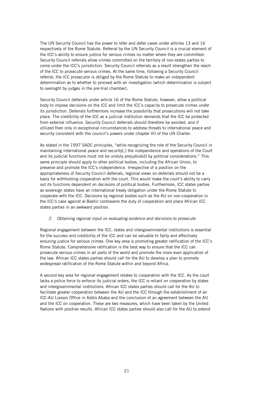The UN Security Council has the power to refer and defer cases under articles 13 and 16 respectively of the Rome Statute. Referral by the UN Security Council is a crucial element of the ICC's ability to ensure justice for serious crimes no matter where they are committed: Security Council referrals allow crimes committed on the territory of non-states parties to come under the ICC's jurisdiction. Security Council referrals as a result strengthen the reach of the ICC to prosecute serious crimes. At the same time, following a Security Council referral, the ICC prosecutor is obliged by the Rome Statute to make an independent determination as to whether to proceed with an investigation (which determination is subject to oversight by judges in the pre-trial chamber).

Security Council deferrals under article 16 of the Rome Statute, however, allow a political body to impose decisions on the ICC and limit the ICC's capacity to prosecute crimes under its jurisdiction. Deferrals furthermore increase the possibility that prosecutions will not take place. The credibility of the ICC as a judicial institution demands that the ICC be protected from external influence. Security Council deferrals should therefore be avoided, and if utilized then only in exceptional circumstances to address threats to international peace and security consistent with the council's powers under chapter VII of the UN Charter.

As stated in the 1997 SADC principles, "while recognizing the role of the Security Council in maintaining international peace and security[,] the independence and operations of the Court and its judicial functions must not be unduly prejudice[d] by political considerations." This same principle should apply to other political bodies, including the African Union, to preserve and promote the ICC's independence. Irrespective of a position on the appropriateness of Security Council deferrals, regional views on deferrals should not be a basis for withholding cooperation with the court. This would make the court's ability to carry out its functions dependent on decisions of political bodies. Furthermore, ICC states parties as sovereign states have an international treaty obligation under the Rome Statute to cooperate with the ICC. Decisions by regional bodies such as the AU on non-cooperation in the ICC's case against al-Bashir contravene the duty of cooperation and place African ICC states parties in an awkward position.

#### 2. Obtaining regional input on evaluating evidence and decisions to prosecute

Regional engagement between the ICC, states and intergovernmental institutions is essential for the success and credibility of the ICC and can be valuable to fairly and effectively ensuring justice for serious crimes. One key area is promoting greater ratification of the ICC's Rome Statute. Comprehensive ratification is the best way to ensure that the ICC can prosecute serious crimes in all parts of the world and promote the more even application of the law. African ICC states parties should call for the AU to develop a plan to promote widespread ratification of the Rome Statute within and beyond Africa.

A second key area for regional engagement relates to cooperation with the ICC. As the court lacks a police force to enforce its judicial orders, the ICC is reliant on cooperation by states and intergovernmental institutions. African ICC states parties should call for the AU to facilitate greater cooperation between the AU and the ICC through the establishment of an ICC-AU Liaison Office in Addis Ababa and the conclusion of an agreement between the AU and the ICC on cooperation. These are two measures, which have been taken by the United Nations with positive results. African ICC states parties should also call for the AU to extend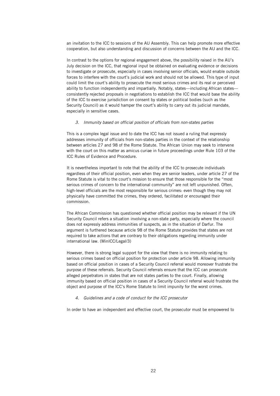an invitation to the ICC to sessions of the AU Assembly. This can help promote more effective cooperation, but also understanding and discussion of concerns between the AU and the ICC.

In contrast to the options for regional engagement above, the possibility raised in the AU's July decision on the ICC, that regional input be obtained on evaluating evidence or decisions to investigate or prosecute, especially in cases involving senior officials, would enable outside forces to interfere with the court's judicial work and should not be allowed. This type of input could limit the court's ability to prosecute the most serious crimes and its real or perceived ability to function independently and impartially. Notably, states—including African states consistently rejected proposals in negotiations to establish the ICC that would base the ability of the ICC to exercise jurisdiction on consent by states or political bodies (such as the Security Council) as it would hamper the court's ability to carry out its judicial mandate, especially in sensitive cases.

#### 3. Immunity based on official position of officials from non-states parties

This is a complex legal issue and to date the ICC has not issued a ruling that expressly addresses immunity of officials from non-states parties in the context of the relationship between articles 27 and 98 of the Rome Statute. The African Union may seek to intervene with the court on this matter as amicus curiae in future proceedings under Rule 103 of the ICC Rules of Evidence and Procedure.

It is nevertheless important to note that the ability of the ICC to prosecute individuals regardless of their official position, even when they are senior leaders, under article 27 of the Rome Statute is vital to the court's mission to ensure that those responsible for the "most serious crimes of concern to the international community" are not left unpunished. Often, high-level officials are the most responsible for serious crimes: even though they may not physically have committed the crimes, they ordered, facilitated or encouraged their commission.

The African Commission has questioned whether official position may be relevant if the UN Security Council refers a situation involving a non-state party, especially where the council does not expressly address immunities of suspects, as in the situation of Darfur. The argument is furthered because article 98 of the Rome Statute provides that states are not required to take actions that are contrary to their obligations regarding immunity under international law. (MinICC/Legal/3)

However, there is strong legal support for the view that there is no immunity relating to serious crimes based on official position for protection under article 98. Allowing immunity based on official position in cases of a Security Council referral would moreover frustrate the purpose of these referrals. Security Council referrals ensure that the ICC can prosecute alleged perpetrators in states that are not states parties to the court. Finally, allowing immunity based on official position in cases of a Security Council referral would frustrate the object and purpose of the ICC's Rome Statute to limit impunity for the worst crimes.

#### 4. Guidelines and a code of conduct for the ICC prosecutor

In order to have an independent and effective court, the prosecutor must be empowered to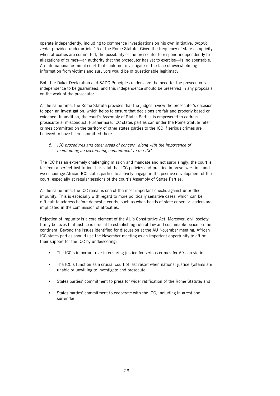operate independently, including to commence investigations on his own initiative, proprio motu, provided under article 15 of the Rome Statute. Given the frequency of state complicity when atrocities are committed, the possibility of the prosecutor to respond independently to allegations of crimes—an authority that the prosecutor has yet to exercise—is indispensable. An international criminal court that could not investigate in the face of overwhelming information from victims and survivors would be of questionable legitimacy.

Both the Dakar Declaration and SADC Principles underscore the need for the prosecutor's independence to be guaranteed, and this independence should be preserved in any proposals on the work of the prosecutor.

At the same time, the Rome Statute provides that the judges review the prosecutor's decision to open an investigation, which helps to ensure that decisions are fair and properly based on evidence. In addition, the court's Assembly of States Parties is empowered to address prosecutorial misconduct. Furthermore, ICC states parties can under the Rome Statute refer crimes committed on the territory of other states parties to the ICC if serious crimes are believed to have been committed there.

#### 5. ICC procedures and other areas of concern, along with the importance of maintaining an overarching commitment to the ICC

The ICC has an extremely challenging mission and mandate and not surprisingly, the court is far from a perfect institution. It is vital that ICC policies and practice improve over time and we encourage African ICC states parties to actively engage in the positive development of the court, especially at regular sessions of the court's Assembly of States Parties.

At the same time, the ICC remains one of the most important checks against unbridled impunity. This is especially with regard to more politically sensitive cases, which can be difficult to address before domestic courts, such as when heads of state or senior leaders are implicated in the commission of atrocities.

Rejection of impunity is a core element of the AU's Constitutive Act. Moreover, civil society firmly believes that justice is crucial to establishing rule of law and sustainable peace on the continent. Beyond the issues identified for discussion at the AU November meeting, African ICC states parties should use the November meeting as an important opportunity to affirm their support for the ICC by underscoring:

- The ICC's important role in ensuring justice for serious crimes for African victims;
- The ICC's function as a crucial court of last resort when national justice systems are unable or unwilling to investigate and prosecute;
- States parties' commitment to press for wider ratification of the Rome Statute; and
- States parties' commitment to cooperate with the ICC, including in arrest and surrender.